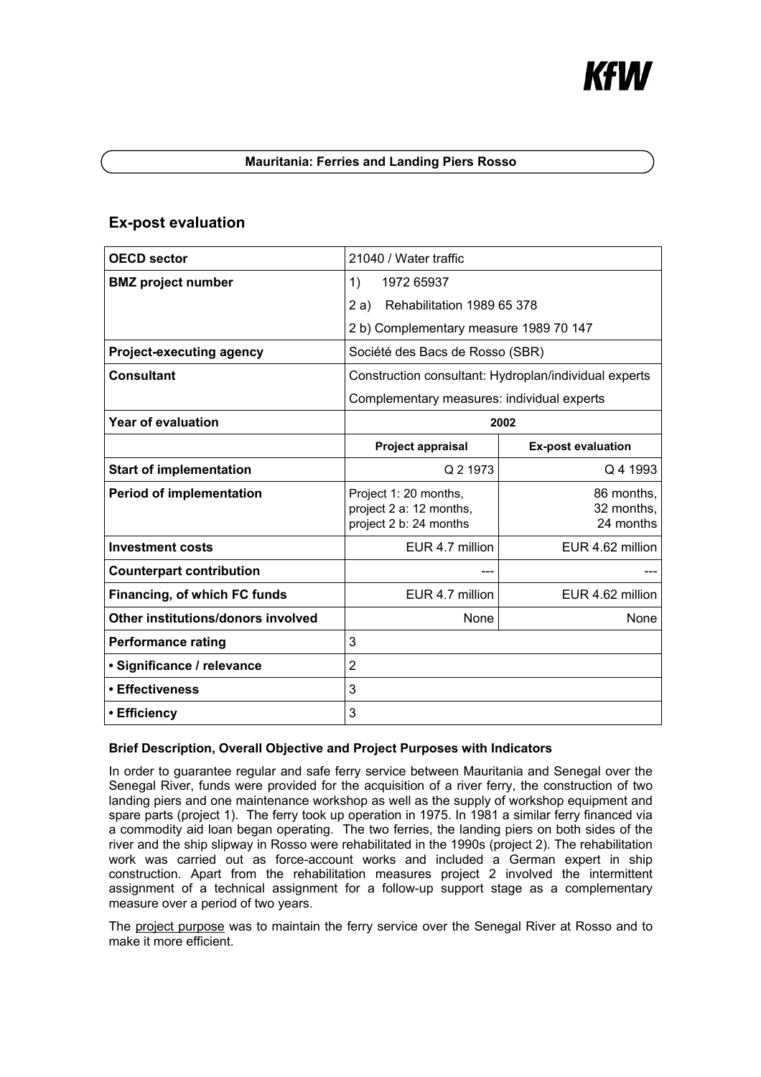# Kł W

### **Mauritania: Ferries and Landing Piers Rosso**

# **Ex-post evaluation**

| <b>OECD sector</b>                 | 21040 / Water traffic                                                      |                                       |
|------------------------------------|----------------------------------------------------------------------------|---------------------------------------|
| <b>BMZ</b> project number          | 1)<br>1972 65937                                                           |                                       |
|                                    | 2a)<br>Rehabilitation 1989 65 378                                          |                                       |
|                                    | 2 b) Complementary measure 1989 70 147                                     |                                       |
| <b>Project-executing agency</b>    | Société des Bacs de Rosso (SBR)                                            |                                       |
| <b>Consultant</b>                  | Construction consultant: Hydroplan/individual experts                      |                                       |
|                                    | Complementary measures: individual experts                                 |                                       |
| <b>Year of evaluation</b>          | 2002                                                                       |                                       |
|                                    | <b>Project appraisal</b>                                                   | <b>Ex-post evaluation</b>             |
| <b>Start of implementation</b>     | Q 2 1973                                                                   | Q 4 1993                              |
| <b>Period of implementation</b>    | Project 1: 20 months,<br>project 2 a: 12 months,<br>project 2 b: 24 months | 86 months,<br>32 months,<br>24 months |
| <b>Investment costs</b>            | EUR 4.7 million                                                            | EUR 4.62 million                      |
| <b>Counterpart contribution</b>    |                                                                            |                                       |
| Financing, of which FC funds       | EUR 4.7 million                                                            | EUR 4.62 million                      |
| Other institutions/donors involved | None                                                                       | <b>None</b>                           |
| <b>Performance rating</b>          | 3                                                                          |                                       |
| · Significance / relevance         | $\overline{2}$                                                             |                                       |
| • Effectiveness                    | 3                                                                          |                                       |
| • Efficiency                       | 3                                                                          |                                       |

## **Brief Description, Overall Objective and Project Purposes with Indicators**

In order to guarantee regular and safe ferry service between Mauritania and Senegal over the Senegal River, funds were provided for the acquisition of a river ferry, the construction of two landing piers and one maintenance workshop as well as the supply of workshop equipment and spare parts (project 1). The ferry took up operation in 1975. In 1981 a similar ferry financed via a commodity aid loan began operating. The two ferries, the landing piers on both sides of the river and the ship slipway in Rosso were rehabilitated in the 1990s (project 2). The rehabilitation work was carried out as force-account works and included a German expert in ship construction. Apart from the rehabilitation measures project 2 involved the intermittent assignment of a technical assignment for a follow-up support stage as a complementary measure over a period of two years.

The project purpose was to maintain the ferry service over the Senegal River at Rosso and to make it more efficient.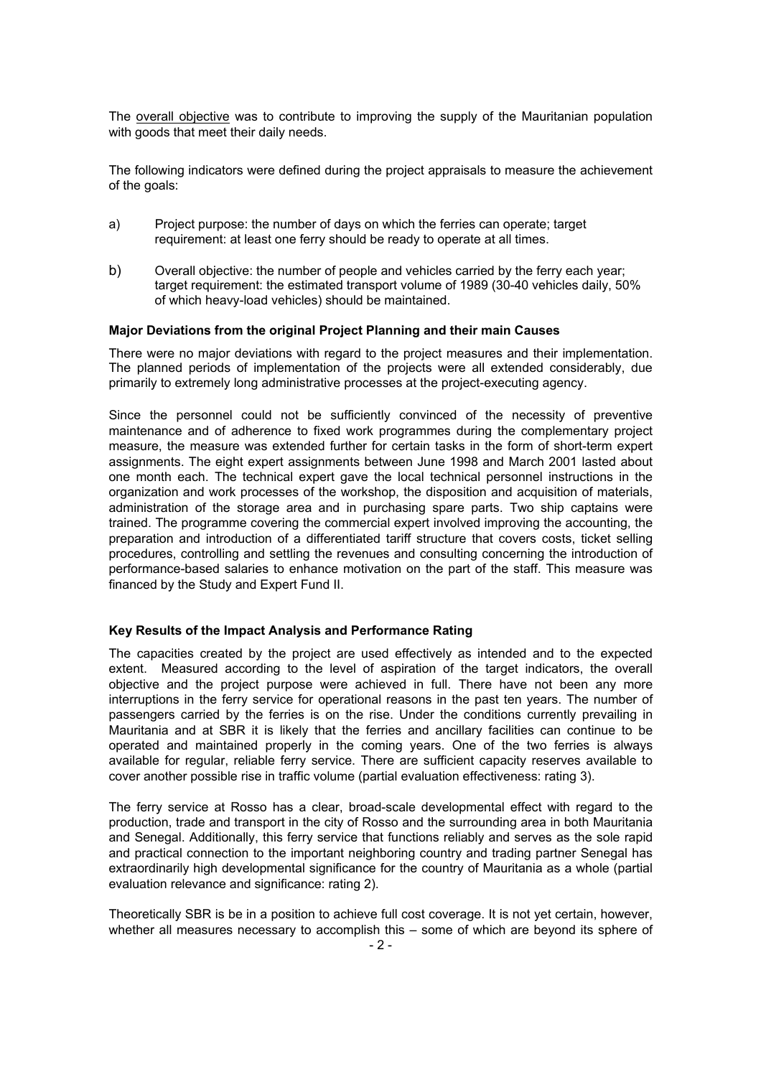The overall objective was to contribute to improving the supply of the Mauritanian population with goods that meet their daily needs.

The following indicators were defined during the project appraisals to measure the achievement of the goals:

- a) Project purpose: the number of days on which the ferries can operate; target requirement: at least one ferry should be ready to operate at all times.
- b) Overall objective: the number of people and vehicles carried by the ferry each year; target requirement: the estimated transport volume of 1989 (30-40 vehicles daily, 50% of which heavy-load vehicles) should be maintained.

#### **Major Deviations from the original Project Planning and their main Causes**

There were no major deviations with regard to the project measures and their implementation. The planned periods of implementation of the projects were all extended considerably, due primarily to extremely long administrative processes at the project-executing agency.

Since the personnel could not be sufficiently convinced of the necessity of preventive maintenance and of adherence to fixed work programmes during the complementary project measure, the measure was extended further for certain tasks in the form of short-term expert assignments. The eight expert assignments between June 1998 and March 2001 lasted about one month each. The technical expert gave the local technical personnel instructions in the organization and work processes of the workshop, the disposition and acquisition of materials, administration of the storage area and in purchasing spare parts. Two ship captains were trained. The programme covering the commercial expert involved improving the accounting, the preparation and introduction of a differentiated tariff structure that covers costs, ticket selling procedures, controlling and settling the revenues and consulting concerning the introduction of performance-based salaries to enhance motivation on the part of the staff. This measure was financed by the Study and Expert Fund II.

#### **Key Results of the Impact Analysis and Performance Rating**

The capacities created by the project are used effectively as intended and to the expected extent. Measured according to the level of aspiration of the target indicators, the overall objective and the project purpose were achieved in full. There have not been any more interruptions in the ferry service for operational reasons in the past ten years. The number of passengers carried by the ferries is on the rise. Under the conditions currently prevailing in Mauritania and at SBR it is likely that the ferries and ancillary facilities can continue to be operated and maintained properly in the coming years. One of the two ferries is always available for regular, reliable ferry service. There are sufficient capacity reserves available to cover another possible rise in traffic volume (partial evaluation effectiveness: rating 3).

The ferry service at Rosso has a clear, broad-scale developmental effect with regard to the production, trade and transport in the city of Rosso and the surrounding area in both Mauritania and Senegal. Additionally, this ferry service that functions reliably and serves as the sole rapid and practical connection to the important neighboring country and trading partner Senegal has extraordinarily high developmental significance for the country of Mauritania as a whole (partial evaluation relevance and significance: rating 2).

Theoretically SBR is be in a position to achieve full cost coverage. It is not yet certain, however, whether all measures necessary to accomplish this – some of which are beyond its sphere of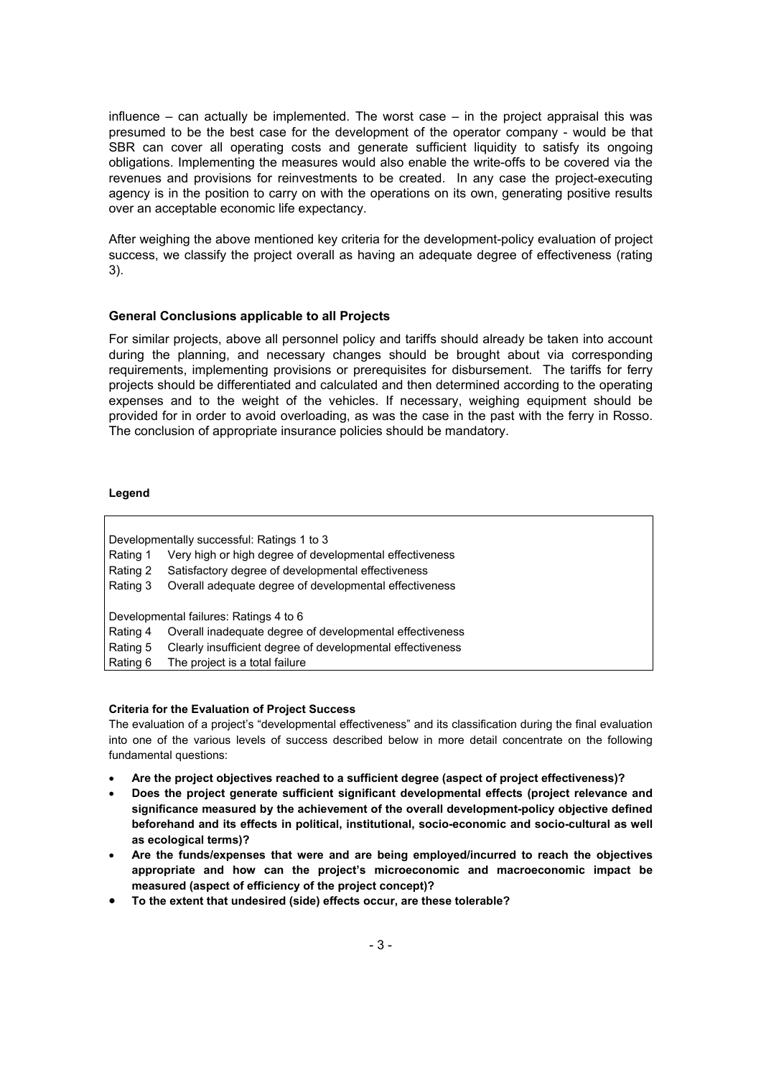influence – can actually be implemented. The worst case – in the project appraisal this was presumed to be the best case for the development of the operator company - would be that SBR can cover all operating costs and generate sufficient liquidity to satisfy its ongoing obligations. Implementing the measures would also enable the write-offs to be covered via the revenues and provisions for reinvestments to be created. In any case the project-executing agency is in the position to carry on with the operations on its own, generating positive results over an acceptable economic life expectancy.

After weighing the above mentioned key criteria for the development-policy evaluation of project success, we classify the project overall as having an adequate degree of effectiveness (rating 3).

#### **General Conclusions applicable to all Projects**

For similar projects, above all personnel policy and tariffs should already be taken into account during the planning, and necessary changes should be brought about via corresponding requirements, implementing provisions or prerequisites for disbursement. The tariffs for ferry projects should be differentiated and calculated and then determined according to the operating expenses and to the weight of the vehicles. If necessary, weighing equipment should be provided for in order to avoid overloading, as was the case in the past with the ferry in Rosso. The conclusion of appropriate insurance policies should be mandatory.

#### **Legend**

| Developmentally successful: Ratings 1 to 3 |                                                            |  |
|--------------------------------------------|------------------------------------------------------------|--|
| Rating 1                                   | Very high or high degree of developmental effectiveness    |  |
| Rating 2                                   | Satisfactory degree of developmental effectiveness         |  |
| Rating 3                                   | Overall adequate degree of developmental effectiveness     |  |
|                                            |                                                            |  |
| Developmental failures: Ratings 4 to 6     |                                                            |  |
| Rating 4                                   | Overall inadequate degree of developmental effectiveness   |  |
| Rating 5                                   | Clearly insufficient degree of developmental effectiveness |  |
| Rating 6                                   | The project is a total failure                             |  |
|                                            |                                                            |  |

#### **Criteria for the Evaluation of Project Success**

The evaluation of a project's "developmental effectiveness" and its classification during the final evaluation into one of the various levels of success described below in more detail concentrate on the following fundamental questions:

- **Are the project objectives reached to a sufficient degree (aspect of project effectiveness)?**
- **Does the project generate sufficient significant developmental effects (project relevance and significance measured by the achievement of the overall development-policy objective defined beforehand and its effects in political, institutional, socio-economic and socio-cultural as well as ecological terms)?**
- **Are the funds/expenses that were and are being employed/incurred to reach the objectives appropriate and how can the project's microeconomic and macroeconomic impact be measured (aspect of efficiency of the project concept)?**
- **To the extent that undesired (side) effects occur, are these tolerable?**